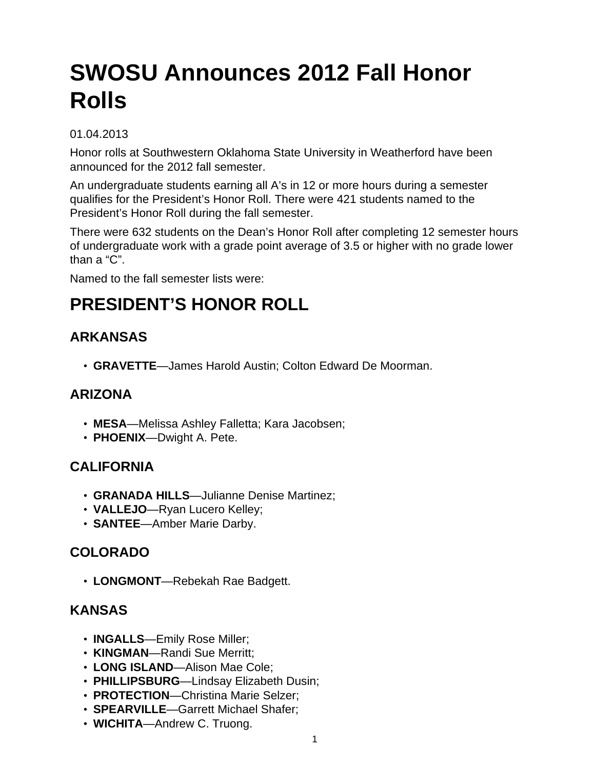# **SWOSU Announces 2012 Fall Honor Rolls**

#### 01.04.2013

Honor rolls at Southwestern Oklahoma State University in Weatherford have been announced for the 2012 fall semester.

An undergraduate students earning all A's in 12 or more hours during a semester qualifies for the President's Honor Roll. There were 421 students named to the President's Honor Roll during the fall semester.

There were 632 students on the Dean's Honor Roll after completing 12 semester hours of undergraduate work with a grade point average of 3.5 or higher with no grade lower than a "C".

Named to the fall semester lists were:

# **PRESIDENT'S HONOR ROLL**

# **ARKANSAS**

• **GRAVETTE**—James Harold Austin; Colton Edward De Moorman.

# **ARIZONA**

- **MESA**—Melissa Ashley Falletta; Kara Jacobsen;
- **PHOENIX**—Dwight A. Pete.

# **CALIFORNIA**

- **GRANADA HILLS**—Julianne Denise Martinez;
- **VALLEJO**—Ryan Lucero Kelley;
- **SANTEE**—Amber Marie Darby.

# **COLORADO**

• **LONGMONT**—Rebekah Rae Badgett.

# **KANSAS**

- **INGALLS**—Emily Rose Miller;
- **KINGMAN**—Randi Sue Merritt;
- **LONG ISLAND**—Alison Mae Cole;
- **PHILLIPSBURG**—Lindsay Elizabeth Dusin;
- **PROTECTION**—Christina Marie Selzer;
- **SPEARVILLE**—Garrett Michael Shafer;
- **WICHITA**—Andrew C. Truong.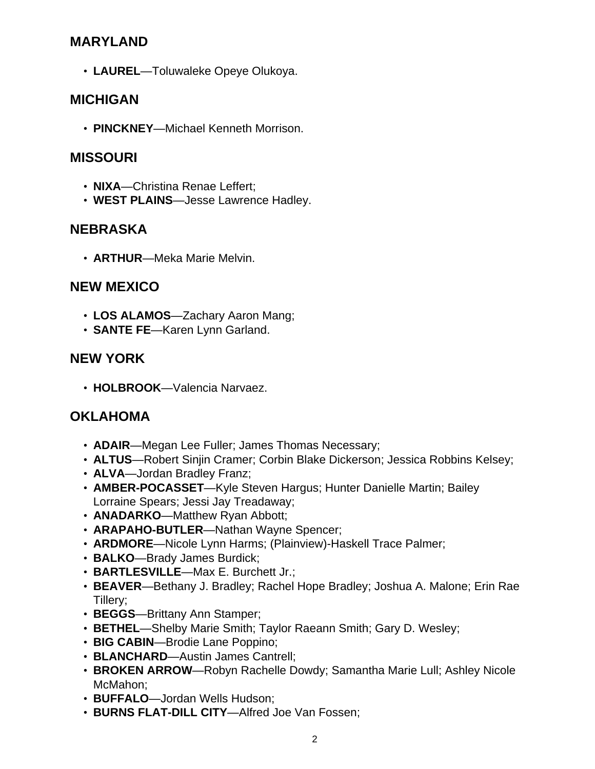#### **MARYLAND**

• **LAUREL**—Toluwaleke Opeye Olukoya.

#### **MICHIGAN**

• **PINCKNEY**—Michael Kenneth Morrison.

#### **MISSOURI**

- **NIXA**—Christina Renae Leffert;
- **WEST PLAINS**—Jesse Lawrence Hadley.

#### **NEBRASKA**

• **ARTHUR**—Meka Marie Melvin.

#### **NEW MEXICO**

- **LOS ALAMOS**—Zachary Aaron Mang;
- **SANTE FE**—Karen Lynn Garland.

#### **NEW YORK**

• **HOLBROOK**—Valencia Narvaez.

# **OKLAHOMA**

- **ADAIR**—Megan Lee Fuller; James Thomas Necessary;
- **ALTUS**—Robert Sinjin Cramer; Corbin Blake Dickerson; Jessica Robbins Kelsey;
- **ALVA**—Jordan Bradley Franz;
- **AMBER-POCASSET**—Kyle Steven Hargus; Hunter Danielle Martin; Bailey Lorraine Spears; Jessi Jay Treadaway;
- **ANADARKO**—Matthew Ryan Abbott;
- **ARAPAHO-BUTLER**—Nathan Wayne Spencer;
- **ARDMORE**—Nicole Lynn Harms; (Plainview)-Haskell Trace Palmer;
- **BALKO**—Brady James Burdick;
- **BARTLESVILLE**—Max E. Burchett Jr.;
- **BEAVER**—Bethany J. Bradley; Rachel Hope Bradley; Joshua A. Malone; Erin Rae Tillery;
- **BEGGS**—Brittany Ann Stamper;
- **BETHEL**—Shelby Marie Smith; Taylor Raeann Smith; Gary D. Wesley;
- **BIG CABIN**—Brodie Lane Poppino;
- **BLANCHARD**—Austin James Cantrell;
- **BROKEN ARROW**—Robyn Rachelle Dowdy; Samantha Marie Lull; Ashley Nicole McMahon;
- **BUFFALO**—Jordan Wells Hudson;
- **BURNS FLAT-DILL CITY**—Alfred Joe Van Fossen;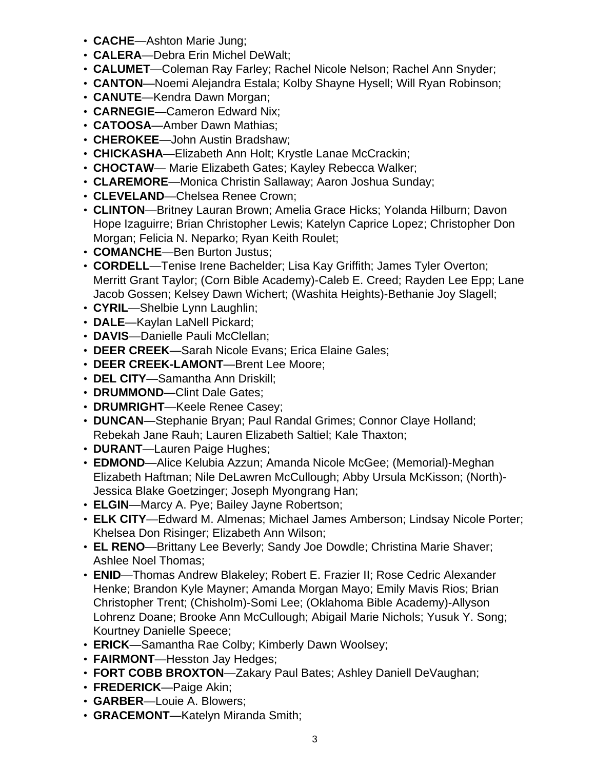- **CACHE**—Ashton Marie Jung;
- **CALERA**—Debra Erin Michel DeWalt;
- **CALUMET**—Coleman Ray Farley; Rachel Nicole Nelson; Rachel Ann Snyder;
- **CANTON**—Noemi Alejandra Estala; Kolby Shayne Hysell; Will Ryan Robinson;
- **CANUTE**—Kendra Dawn Morgan;
- **CARNEGIE**—Cameron Edward Nix;
- **CATOOSA**—Amber Dawn Mathias;
- **CHEROKEE**—John Austin Bradshaw;
- **CHICKASHA**—Elizabeth Ann Holt; Krystle Lanae McCrackin;
- **CHOCTAW** Marie Elizabeth Gates; Kayley Rebecca Walker;
- **CLAREMORE**—Monica Christin Sallaway; Aaron Joshua Sunday;
- **CLEVELAND**—Chelsea Renee Crown;
- **CLINTON**—Britney Lauran Brown; Amelia Grace Hicks; Yolanda Hilburn; Davon Hope Izaguirre; Brian Christopher Lewis; Katelyn Caprice Lopez; Christopher Don Morgan; Felicia N. Neparko; Ryan Keith Roulet;
- **COMANCHE**—Ben Burton Justus;
- **CORDELL**—Tenise Irene Bachelder; Lisa Kay Griffith; James Tyler Overton; Merritt Grant Taylor; (Corn Bible Academy)-Caleb E. Creed; Rayden Lee Epp; Lane Jacob Gossen; Kelsey Dawn Wichert; (Washita Heights)-Bethanie Joy Slagell;
- **CYRIL**—Shelbie Lynn Laughlin;
- **DALE**—Kaylan LaNell Pickard;
- **DAVIS**—Danielle Pauli McClellan;
- **DEER CREEK**—Sarah Nicole Evans; Erica Elaine Gales;
- **DEER CREEK-LAMONT**—Brent Lee Moore;
- **DEL CITY**—Samantha Ann Driskill;
- **DRUMMOND**—Clint Dale Gates;
- **DRUMRIGHT**—Keele Renee Casey;
- **DUNCAN**—Stephanie Bryan; Paul Randal Grimes; Connor Claye Holland; Rebekah Jane Rauh; Lauren Elizabeth Saltiel; Kale Thaxton;
- **DURANT**—Lauren Paige Hughes;
- **EDMOND**—Alice Kelubia Azzun; Amanda Nicole McGee; (Memorial)-Meghan Elizabeth Haftman; Nile DeLawren McCullough; Abby Ursula McKisson; (North)- Jessica Blake Goetzinger; Joseph Myongrang Han;
- **ELGIN**—Marcy A. Pye; Bailey Jayne Robertson;
- **ELK CITY**—Edward M. Almenas; Michael James Amberson; Lindsay Nicole Porter; Khelsea Don Risinger; Elizabeth Ann Wilson;
- **EL RENO**—Brittany Lee Beverly; Sandy Joe Dowdle; Christina Marie Shaver; Ashlee Noel Thomas;
- **ENID**—Thomas Andrew Blakeley; Robert E. Frazier II; Rose Cedric Alexander Henke; Brandon Kyle Mayner; Amanda Morgan Mayo; Emily Mavis Rios; Brian Christopher Trent; (Chisholm)-Somi Lee; (Oklahoma Bible Academy)-Allyson Lohrenz Doane; Brooke Ann McCullough; Abigail Marie Nichols; Yusuk Y. Song; Kourtney Danielle Speece;
- **ERICK**—Samantha Rae Colby; Kimberly Dawn Woolsey;
- **FAIRMONT**—Hesston Jay Hedges;
- **FORT COBB BROXTON**—Zakary Paul Bates; Ashley Daniell DeVaughan;
- **FREDERICK**—Paige Akin;
- **GARBER**—Louie A. Blowers;
- **GRACEMONT**—Katelyn Miranda Smith;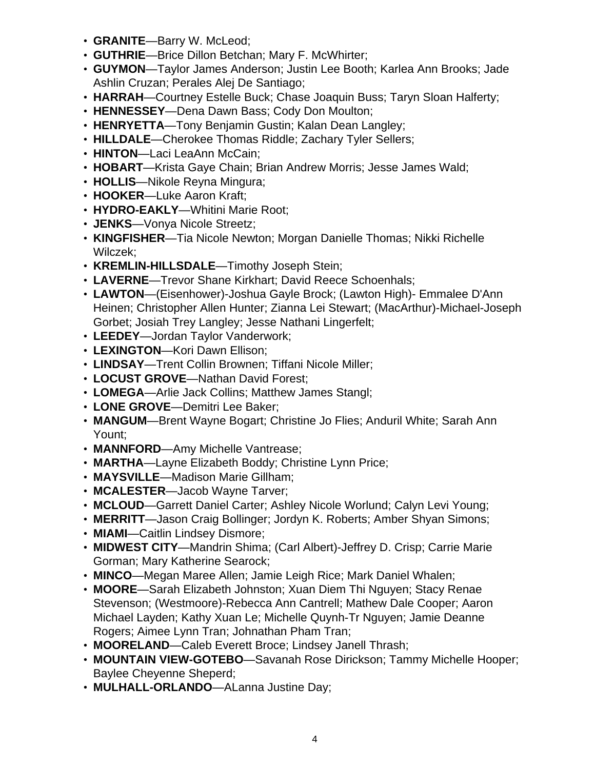- **GRANITE**—Barry W. McLeod;
- **GUTHRIE**—Brice Dillon Betchan; Mary F. McWhirter;
- **GUYMON**—Taylor James Anderson; Justin Lee Booth; Karlea Ann Brooks; Jade Ashlin Cruzan; Perales Alej De Santiago;
- **HARRAH**—Courtney Estelle Buck; Chase Joaquin Buss; Taryn Sloan Halferty;
- **HENNESSEY**—Dena Dawn Bass; Cody Don Moulton;
- **HENRYETTA**—Tony Benjamin Gustin; Kalan Dean Langley;
- **HILLDALE**—Cherokee Thomas Riddle; Zachary Tyler Sellers;
- **HINTON**—Laci LeaAnn McCain;
- **HOBART**—Krista Gaye Chain; Brian Andrew Morris; Jesse James Wald;
- **HOLLIS**—Nikole Reyna Mingura;
- **HOOKER**—Luke Aaron Kraft;
- **HYDRO-EAKLY**—Whitini Marie Root;
- **JENKS**—Vonya Nicole Streetz;
- **KINGFISHER**—Tia Nicole Newton; Morgan Danielle Thomas; Nikki Richelle Wilczek;
- **KREMLIN-HILLSDALE**—Timothy Joseph Stein;
- **LAVERNE**—Trevor Shane Kirkhart; David Reece Schoenhals;
- **LAWTON**—(Eisenhower)-Joshua Gayle Brock; (Lawton High)- Emmalee D'Ann Heinen; Christopher Allen Hunter; Zianna Lei Stewart; (MacArthur)-Michael-Joseph Gorbet; Josiah Trey Langley; Jesse Nathani Lingerfelt;
- **LEEDEY**—Jordan Taylor Vanderwork;
- **LEXINGTON**—Kori Dawn Ellison;
- **LINDSAY**—Trent Collin Brownen; Tiffani Nicole Miller;
- **LOCUST GROVE**—Nathan David Forest;
- **LOMEGA**—Arlie Jack Collins; Matthew James Stangl;
- **LONE GROVE**—Demitri Lee Baker;
- **MANGUM**—Brent Wayne Bogart; Christine Jo Flies; Anduril White; Sarah Ann Yount;
- **MANNFORD**—Amy Michelle Vantrease;
- **MARTHA**—Layne Elizabeth Boddy; Christine Lynn Price;
- **MAYSVILLE**—Madison Marie Gillham;
- **MCALESTER**—Jacob Wayne Tarver;
- **MCLOUD**—Garrett Daniel Carter; Ashley Nicole Worlund; Calyn Levi Young;
- **MERRITT**—Jason Craig Bollinger; Jordyn K. Roberts; Amber Shyan Simons;
- **MIAMI**—Caitlin Lindsey Dismore;
- **MIDWEST CITY**—Mandrin Shima; (Carl Albert)-Jeffrey D. Crisp; Carrie Marie Gorman; Mary Katherine Searock;
- **MINCO**—Megan Maree Allen; Jamie Leigh Rice; Mark Daniel Whalen;
- **MOORE**—Sarah Elizabeth Johnston; Xuan Diem Thi Nguyen; Stacy Renae Stevenson; (Westmoore)-Rebecca Ann Cantrell; Mathew Dale Cooper; Aaron Michael Layden; Kathy Xuan Le; Michelle Quynh-Tr Nguyen; Jamie Deanne Rogers; Aimee Lynn Tran; Johnathan Pham Tran;
- **MOORELAND**—Caleb Everett Broce; Lindsey Janell Thrash;
- **MOUNTAIN VIEW-GOTEBO**—Savanah Rose Dirickson; Tammy Michelle Hooper; Baylee Cheyenne Sheperd;
- **MULHALL-ORLANDO**—ALanna Justine Day;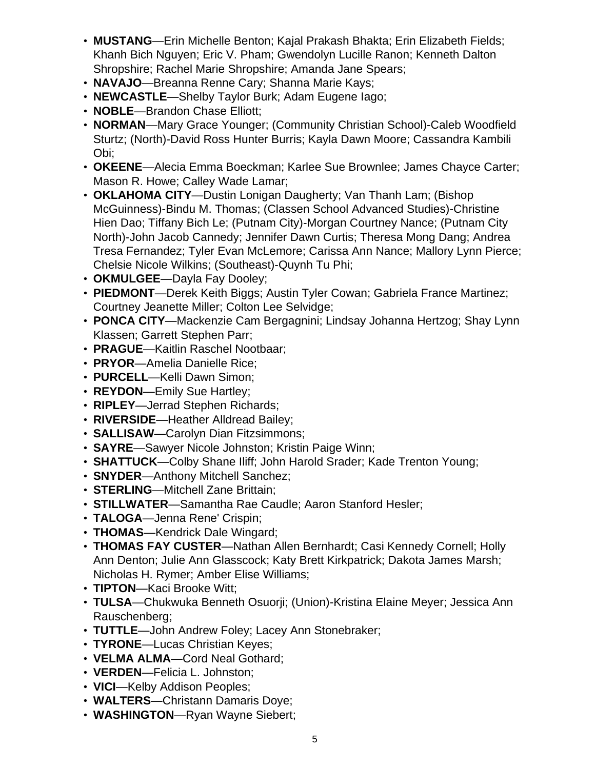- **MUSTANG**—Erin Michelle Benton; Kajal Prakash Bhakta; Erin Elizabeth Fields; Khanh Bich Nguyen; Eric V. Pham; Gwendolyn Lucille Ranon; Kenneth Dalton Shropshire; Rachel Marie Shropshire; Amanda Jane Spears;
- **NAVAJO**—Breanna Renne Cary; Shanna Marie Kays;
- **NEWCASTLE**—Shelby Taylor Burk; Adam Eugene Iago;
- **NOBLE**—Brandon Chase Elliott;
- **NORMAN**—Mary Grace Younger; (Community Christian School)-Caleb Woodfield Sturtz; (North)-David Ross Hunter Burris; Kayla Dawn Moore; Cassandra Kambili Obi;
- **OKEENE**—Alecia Emma Boeckman; Karlee Sue Brownlee; James Chayce Carter; Mason R. Howe; Calley Wade Lamar;
- **OKLAHOMA CITY**—Dustin Lonigan Daugherty; Van Thanh Lam; (Bishop McGuinness)-Bindu M. Thomas; (Classen School Advanced Studies)-Christine Hien Dao; Tiffany Bich Le; (Putnam City)-Morgan Courtney Nance; (Putnam City North)-John Jacob Cannedy; Jennifer Dawn Curtis; Theresa Mong Dang; Andrea Tresa Fernandez; Tyler Evan McLemore; Carissa Ann Nance; Mallory Lynn Pierce; Chelsie Nicole Wilkins; (Southeast)-Quynh Tu Phi;
- **OKMULGEE**—Dayla Fay Dooley;
- **PIEDMONT**—Derek Keith Biggs; Austin Tyler Cowan; Gabriela France Martinez; Courtney Jeanette Miller; Colton Lee Selvidge;
- **PONCA CITY**—Mackenzie Cam Bergagnini; Lindsay Johanna Hertzog; Shay Lynn Klassen; Garrett Stephen Parr;
- **PRAGUE**—Kaitlin Raschel Nootbaar;
- **PRYOR**—Amelia Danielle Rice;
- **PURCELL**—Kelli Dawn Simon;
- **REYDON**—Emily Sue Hartley;
- **RIPLEY**—Jerrad Stephen Richards;
- **RIVERSIDE**—Heather Alldread Bailey;
- **SALLISAW**—Carolyn Dian Fitzsimmons;
- **SAYRE**—Sawyer Nicole Johnston; Kristin Paige Winn;
- **SHATTUCK**—Colby Shane Iliff; John Harold Srader; Kade Trenton Young;
- **SNYDER**—Anthony Mitchell Sanchez;
- **STERLING**—Mitchell Zane Brittain;
- **STILLWATER**—Samantha Rae Caudle; Aaron Stanford Hesler;
- **TALOGA**—Jenna Rene' Crispin;
- **THOMAS**—Kendrick Dale Wingard;
- **THOMAS FAY CUSTER**—Nathan Allen Bernhardt; Casi Kennedy Cornell; Holly Ann Denton; Julie Ann Glasscock; Katy Brett Kirkpatrick; Dakota James Marsh; Nicholas H. Rymer; Amber Elise Williams;
- **TIPTON**—Kaci Brooke Witt;
- **TULSA**—Chukwuka Benneth Osuorji; (Union)-Kristina Elaine Meyer; Jessica Ann Rauschenberg;
- **TUTTLE**—John Andrew Foley; Lacey Ann Stonebraker;
- **TYRONE**—Lucas Christian Keyes;
- **VELMA ALMA**—Cord Neal Gothard;
- **VERDEN**—Felicia L. Johnston;
- **VICI**—Kelby Addison Peoples;
- **WALTERS**—Christann Damaris Doye;
- **WASHINGTON**—Ryan Wayne Siebert;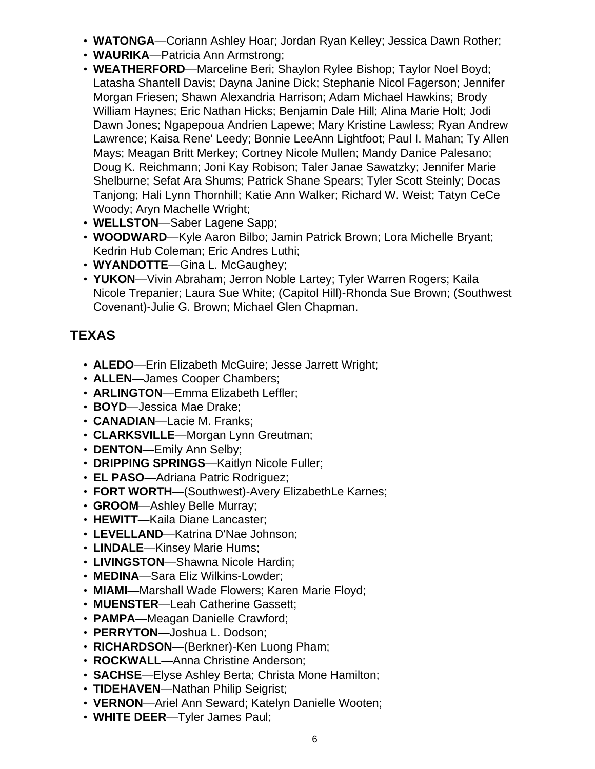- **WATONGA**—Coriann Ashley Hoar; Jordan Ryan Kelley; Jessica Dawn Rother;
- **WAURIKA**—Patricia Ann Armstrong;
- **WEATHERFORD**—Marceline Beri; Shaylon Rylee Bishop; Taylor Noel Boyd; Latasha Shantell Davis; Dayna Janine Dick; Stephanie Nicol Fagerson; Jennifer Morgan Friesen; Shawn Alexandria Harrison; Adam Michael Hawkins; Brody William Haynes; Eric Nathan Hicks; Benjamin Dale Hill; Alina Marie Holt; Jodi Dawn Jones; Ngapepoua Andrien Lapewe; Mary Kristine Lawless; Ryan Andrew Lawrence; Kaisa Rene' Leedy; Bonnie LeeAnn Lightfoot; Paul I. Mahan; Ty Allen Mays; Meagan Britt Merkey; Cortney Nicole Mullen; Mandy Danice Palesano; Doug K. Reichmann; Joni Kay Robison; Taler Janae Sawatzky; Jennifer Marie Shelburne; Sefat Ara Shums; Patrick Shane Spears; Tyler Scott Steinly; Docas Tanjong; Hali Lynn Thornhill; Katie Ann Walker; Richard W. Weist; Tatyn CeCe Woody; Aryn Machelle Wright;
- **WELLSTON**—Saber Lagene Sapp;
- **WOODWARD**—Kyle Aaron Bilbo; Jamin Patrick Brown; Lora Michelle Bryant; Kedrin Hub Coleman; Eric Andres Luthi;
- **WYANDOTTE**—Gina L. McGaughey;
- **YUKON**—Vivin Abraham; Jerron Noble Lartey; Tyler Warren Rogers; Kaila Nicole Trepanier; Laura Sue White; (Capitol Hill)-Rhonda Sue Brown; (Southwest Covenant)-Julie G. Brown; Michael Glen Chapman.

# **TEXAS**

- **ALEDO**—Erin Elizabeth McGuire; Jesse Jarrett Wright;
- **ALLEN**—James Cooper Chambers;
- **ARLINGTON**—Emma Elizabeth Leffler;
- **BOYD**—Jessica Mae Drake;
- **CANADIAN**—Lacie M. Franks;
- **CLARKSVILLE**—Morgan Lynn Greutman;
- **DENTON**—Emily Ann Selby;
- **DRIPPING SPRINGS**—Kaitlyn Nicole Fuller;
- **EL PASO**—Adriana Patric Rodriguez;
- **FORT WORTH**—(Southwest)-Avery ElizabethLe Karnes;
- **GROOM**—Ashley Belle Murray;
- **HEWITT**—Kaila Diane Lancaster;
- **LEVELLAND**—Katrina D'Nae Johnson;
- **LINDALE**—Kinsey Marie Hums;
- **LIVINGSTON**—Shawna Nicole Hardin;
- **MEDINA**—Sara Eliz Wilkins-Lowder;
- **MIAMI**—Marshall Wade Flowers; Karen Marie Floyd;
- **MUENSTER**—Leah Catherine Gassett;
- **PAMPA**—Meagan Danielle Crawford;
- **PERRYTON**—Joshua L. Dodson;
- **RICHARDSON**—(Berkner)-Ken Luong Pham;
- **ROCKWALL**—Anna Christine Anderson;
- **SACHSE**—Elyse Ashley Berta; Christa Mone Hamilton;
- **TIDEHAVEN**—Nathan Philip Seigrist;
- **VERNON**—Ariel Ann Seward; Katelyn Danielle Wooten;
- **WHITE DEER**—Tyler James Paul;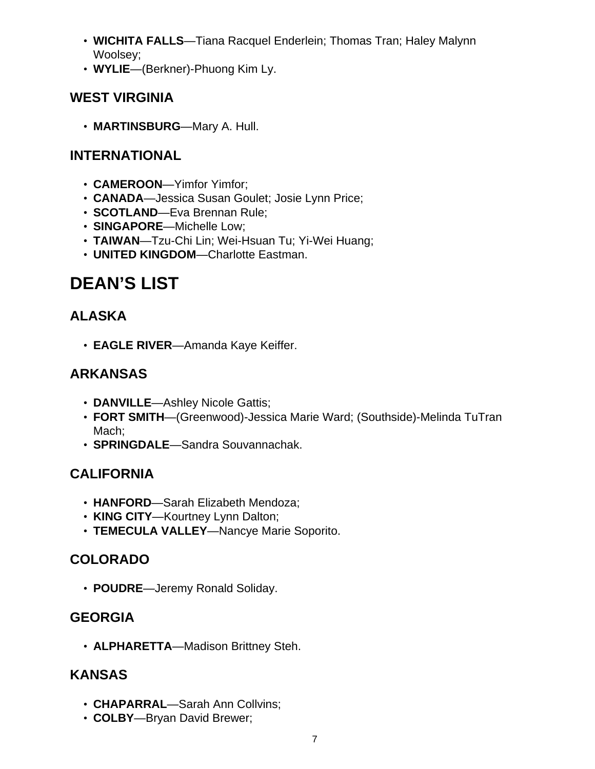- **WICHITA FALLS**—Tiana Racquel Enderlein; Thomas Tran; Haley Malynn Woolsey;
- **WYLIE**—(Berkner)-Phuong Kim Ly.

# **WEST VIRGINIA**

• **MARTINSBURG**—Mary A. Hull.

#### **INTERNATIONAL**

- **CAMEROON**—Yimfor Yimfor;
- **CANADA**—Jessica Susan Goulet; Josie Lynn Price;
- **SCOTLAND**—Eva Brennan Rule;
- **SINGAPORE**—Michelle Low;
- **TAIWAN**—Tzu-Chi Lin; Wei-Hsuan Tu; Yi-Wei Huang;
- **UNITED KINGDOM**—Charlotte Eastman.

# **DEAN'S LIST**

# **ALASKA**

• **EAGLE RIVER**—Amanda Kaye Keiffer.

# **ARKANSAS**

- **DANVILLE**—Ashley Nicole Gattis;
- **FORT SMITH**—(Greenwood)-Jessica Marie Ward; (Southside)-Melinda TuTran Mach;
- **SPRINGDALE**—Sandra Souvannachak.

# **CALIFORNIA**

- **HANFORD**—Sarah Elizabeth Mendoza;
- **KING CITY**—Kourtney Lynn Dalton;
- **TEMECULA VALLEY**—Nancye Marie Soporito.

# **COLORADO**

• **POUDRE**—Jeremy Ronald Soliday.

# **GEORGIA**

• **ALPHARETTA**—Madison Brittney Steh.

#### **KANSAS**

- **CHAPARRAL**—Sarah Ann Collvins;
- **COLBY**—Bryan David Brewer;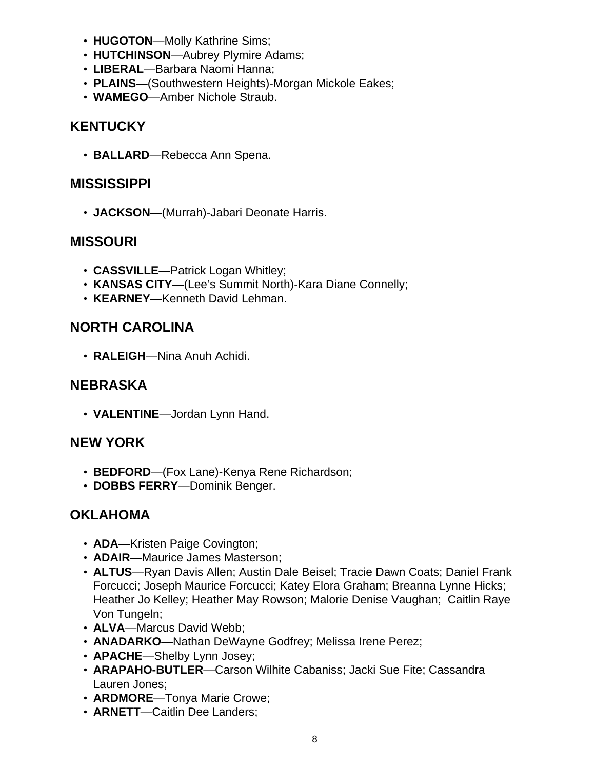- **HUGOTON**—Molly Kathrine Sims;
- **HUTCHINSON**—Aubrey Plymire Adams;
- **LIBERAL**—Barbara Naomi Hanna;
- **PLAINS**—(Southwestern Heights)-Morgan Mickole Eakes;
- **WAMEGO**—Amber Nichole Straub.

#### **KENTUCKY**

• **BALLARD**—Rebecca Ann Spena.

#### **MISSISSIPPI**

• **JACKSON**—(Murrah)-Jabari Deonate Harris.

#### **MISSOURI**

- **CASSVILLE**—Patrick Logan Whitley;
- **KANSAS CITY**—(Lee's Summit North)-Kara Diane Connelly;
- **KEARNEY**—Kenneth David Lehman.

# **NORTH CAROLINA**

• **RALEIGH**—Nina Anuh Achidi.

#### **NEBRASKA**

• **VALENTINE**—Jordan Lynn Hand.

#### **NEW YORK**

- **BEDFORD**—(Fox Lane)-Kenya Rene Richardson;
- **DOBBS FERRY**—Dominik Benger.

#### **OKLAHOMA**

- **ADA**—Kristen Paige Covington;
- **ADAIR**—Maurice James Masterson;
- **ALTUS**—Ryan Davis Allen; Austin Dale Beisel; Tracie Dawn Coats; Daniel Frank Forcucci; Joseph Maurice Forcucci; Katey Elora Graham; Breanna Lynne Hicks; Heather Jo Kelley; Heather May Rowson; Malorie Denise Vaughan; Caitlin Raye Von Tungeln;
- **ALVA**—Marcus David Webb;
- **ANADARKO**—Nathan DeWayne Godfrey; Melissa Irene Perez;
- **APACHE**—Shelby Lynn Josey;
- **ARAPAHO-BUTLER**—Carson Wilhite Cabaniss; Jacki Sue Fite; Cassandra Lauren Jones;
- **ARDMORE**—Tonya Marie Crowe;
- **ARNETT**—Caitlin Dee Landers;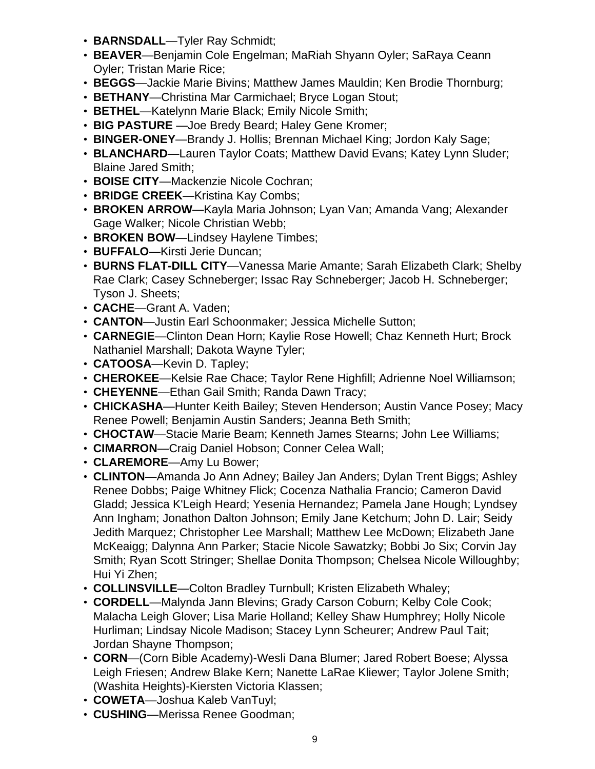- **BARNSDALL**—Tyler Ray Schmidt;
- **BEAVER**—Benjamin Cole Engelman; MaRiah Shyann Oyler; SaRaya Ceann Oyler; Tristan Marie Rice;
- **BEGGS**—Jackie Marie Bivins; Matthew James Mauldin; Ken Brodie Thornburg;
- **BETHANY**—Christina Mar Carmichael; Bryce Logan Stout;
- **BETHEL**—Katelynn Marie Black; Emily Nicole Smith;
- **BIG PASTURE** —Joe Bredy Beard; Haley Gene Kromer;
- **BINGER-ONEY**—Brandy J. Hollis; Brennan Michael King; Jordon Kaly Sage;
- **BLANCHARD**—Lauren Taylor Coats; Matthew David Evans; Katey Lynn Sluder; Blaine Jared Smith;
- **BOISE CITY**—Mackenzie Nicole Cochran;
- **BRIDGE CREEK**—Kristina Kay Combs;
- **BROKEN ARROW**—Kayla Maria Johnson; Lyan Van; Amanda Vang; Alexander Gage Walker; Nicole Christian Webb;
- **BROKEN BOW**—Lindsey Haylene Timbes;
- **BUFFALO**—Kirsti Jerie Duncan;
- **BURNS FLAT-DILL CITY**—Vanessa Marie Amante; Sarah Elizabeth Clark; Shelby Rae Clark; Casey Schneberger; Issac Ray Schneberger; Jacob H. Schneberger; Tyson J. Sheets;
- **CACHE**—Grant A. Vaden;
- **CANTON**—Justin Earl Schoonmaker; Jessica Michelle Sutton;
- **CARNEGIE**—Clinton Dean Horn; Kaylie Rose Howell; Chaz Kenneth Hurt; Brock Nathaniel Marshall; Dakota Wayne Tyler;
- **CATOOSA**—Kevin D. Tapley;
- **CHEROKEE**—Kelsie Rae Chace; Taylor Rene Highfill; Adrienne Noel Williamson;
- **CHEYENNE**—Ethan Gail Smith; Randa Dawn Tracy;
- **CHICKASHA**—Hunter Keith Bailey; Steven Henderson; Austin Vance Posey; Macy Renee Powell; Benjamin Austin Sanders; Jeanna Beth Smith;
- **CHOCTAW**—Stacie Marie Beam; Kenneth James Stearns; John Lee Williams;
- **CIMARRON**—Craig Daniel Hobson; Conner Celea Wall;
- **CLAREMORE**—Amy Lu Bower;
- **CLINTON**—Amanda Jo Ann Adney; Bailey Jan Anders; Dylan Trent Biggs; Ashley Renee Dobbs; Paige Whitney Flick; Cocenza Nathalia Francio; Cameron David Gladd; Jessica K'Leigh Heard; Yesenia Hernandez; Pamela Jane Hough; Lyndsey Ann Ingham; Jonathon Dalton Johnson; Emily Jane Ketchum; John D. Lair; Seidy Jedith Marquez; Christopher Lee Marshall; Matthew Lee McDown; Elizabeth Jane McKeaigg; Dalynna Ann Parker; Stacie Nicole Sawatzky; Bobbi Jo Six; Corvin Jay Smith; Ryan Scott Stringer; Shellae Donita Thompson; Chelsea Nicole Willoughby; Hui Yi Zhen;
- **COLLINSVILLE**—Colton Bradley Turnbull; Kristen Elizabeth Whaley;
- **CORDELL**—Malynda Jann Blevins; Grady Carson Coburn; Kelby Cole Cook; Malacha Leigh Glover; Lisa Marie Holland; Kelley Shaw Humphrey; Holly Nicole Hurliman; Lindsay Nicole Madison; Stacey Lynn Scheurer; Andrew Paul Tait; Jordan Shayne Thompson;
- **CORN**—(Corn Bible Academy)-Wesli Dana Blumer; Jared Robert Boese; Alyssa Leigh Friesen; Andrew Blake Kern; Nanette LaRae Kliewer; Taylor Jolene Smith; (Washita Heights)-Kiersten Victoria Klassen;
- **COWETA**—Joshua Kaleb VanTuyl;
- **CUSHING**—Merissa Renee Goodman;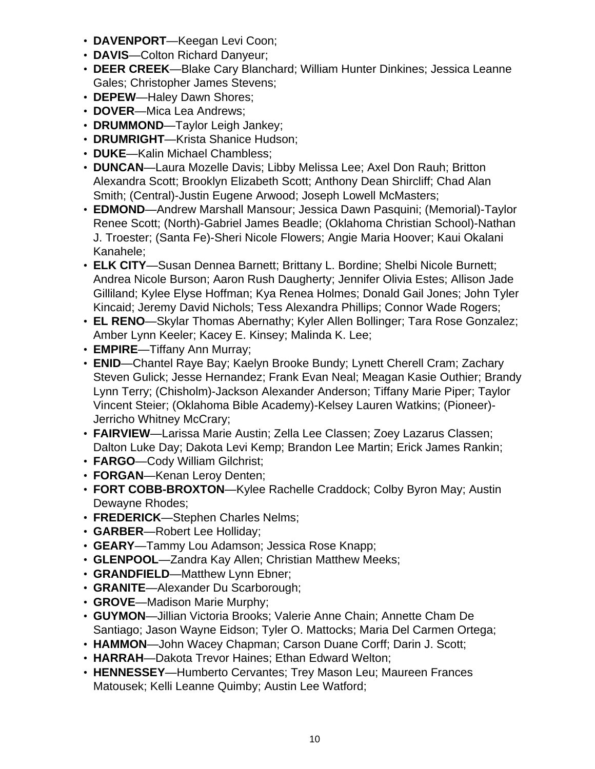- **DAVENPORT**—Keegan Levi Coon;
- **DAVIS**—Colton Richard Danyeur;
- **DEER CREEK**—Blake Cary Blanchard; William Hunter Dinkines; Jessica Leanne Gales; Christopher James Stevens;
- **DEPEW**—Haley Dawn Shores;
- **DOVER**—Mica Lea Andrews;
- **DRUMMOND**—Taylor Leigh Jankey;
- **DRUMRIGHT**—Krista Shanice Hudson;
- **DUKE**—Kalin Michael Chambless;
- **DUNCAN**—Laura Mozelle Davis; Libby Melissa Lee; Axel Don Rauh; Britton Alexandra Scott; Brooklyn Elizabeth Scott; Anthony Dean Shircliff; Chad Alan Smith; (Central)-Justin Eugene Arwood; Joseph Lowell McMasters;
- **EDMOND**—Andrew Marshall Mansour; Jessica Dawn Pasquini; (Memorial)-Taylor Renee Scott; (North)-Gabriel James Beadle; (Oklahoma Christian School)-Nathan J. Troester; (Santa Fe)-Sheri Nicole Flowers; Angie Maria Hoover; Kaui Okalani Kanahele;
- **ELK CITY**—Susan Dennea Barnett; Brittany L. Bordine; Shelbi Nicole Burnett; Andrea Nicole Burson; Aaron Rush Daugherty; Jennifer Olivia Estes; Allison Jade Gilliland; Kylee Elyse Hoffman; Kya Renea Holmes; Donald Gail Jones; John Tyler Kincaid; Jeremy David Nichols; Tess Alexandra Phillips; Connor Wade Rogers;
- **EL RENO**—Skylar Thomas Abernathy; Kyler Allen Bollinger; Tara Rose Gonzalez; Amber Lynn Keeler; Kacey E. Kinsey; Malinda K. Lee;
- **EMPIRE**—Tiffany Ann Murray;
- **ENID**—Chantel Raye Bay; Kaelyn Brooke Bundy; Lynett Cherell Cram; Zachary Steven Gulick; Jesse Hernandez; Frank Evan Neal; Meagan Kasie Outhier; Brandy Lynn Terry; (Chisholm)-Jackson Alexander Anderson; Tiffany Marie Piper; Taylor Vincent Steier; (Oklahoma Bible Academy)-Kelsey Lauren Watkins; (Pioneer)- Jerricho Whitney McCrary;
- **FAIRVIEW**—Larissa Marie Austin; Zella Lee Classen; Zoey Lazarus Classen; Dalton Luke Day; Dakota Levi Kemp; Brandon Lee Martin; Erick James Rankin;
- **FARGO**—Cody William Gilchrist;
- **FORGAN**—Kenan Leroy Denten;
- **FORT COBB-BROXTON**—Kylee Rachelle Craddock; Colby Byron May; Austin Dewayne Rhodes;
- **FREDERICK**—Stephen Charles Nelms;
- **GARBER**—Robert Lee Holliday;
- **GEARY**—Tammy Lou Adamson; Jessica Rose Knapp;
- **GLENPOOL**—Zandra Kay Allen; Christian Matthew Meeks;
- **GRANDFIELD**—Matthew Lynn Ebner;
- **GRANITE**—Alexander Du Scarborough;
- **GROVE**—Madison Marie Murphy;
- **GUYMON**—Jillian Victoria Brooks; Valerie Anne Chain; Annette Cham De Santiago; Jason Wayne Eidson; Tyler O. Mattocks; Maria Del Carmen Ortega;
- **HAMMON**—John Wacey Chapman; Carson Duane Corff; Darin J. Scott;
- **HARRAH**—Dakota Trevor Haines; Ethan Edward Welton;
- **HENNESSEY**—Humberto Cervantes; Trey Mason Leu; Maureen Frances Matousek; Kelli Leanne Quimby; Austin Lee Watford;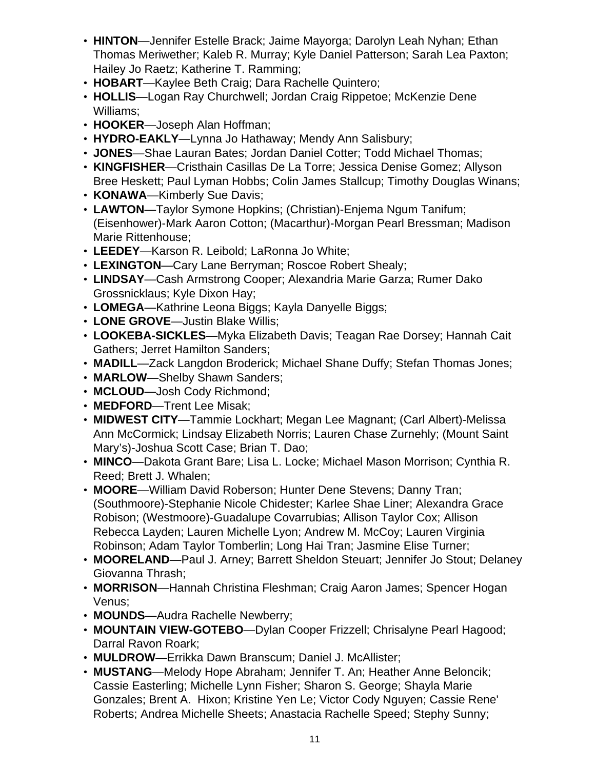- **HINTON**—Jennifer Estelle Brack; Jaime Mayorga; Darolyn Leah Nyhan; Ethan Thomas Meriwether; Kaleb R. Murray; Kyle Daniel Patterson; Sarah Lea Paxton; Hailey Jo Raetz; Katherine T. Ramming;
- **HOBART**—Kaylee Beth Craig; Dara Rachelle Quintero;
- **HOLLIS**—Logan Ray Churchwell; Jordan Craig Rippetoe; McKenzie Dene Williams;
- **HOOKER**—Joseph Alan Hoffman;
- **HYDRO-EAKLY**—Lynna Jo Hathaway; Mendy Ann Salisbury;
- **JONES**—Shae Lauran Bates; Jordan Daniel Cotter; Todd Michael Thomas;
- **KINGFISHER**—Cristhain Casillas De La Torre; Jessica Denise Gomez; Allyson Bree Heskett; Paul Lyman Hobbs; Colin James Stallcup; Timothy Douglas Winans;
- **KONAWA**—Kimberly Sue Davis;
- **LAWTON**—Taylor Symone Hopkins; (Christian)-Enjema Ngum Tanifum; (Eisenhower)-Mark Aaron Cotton; (Macarthur)-Morgan Pearl Bressman; Madison Marie Rittenhouse;
- **LEEDEY**—Karson R. Leibold; LaRonna Jo White;
- **LEXINGTON**—Cary Lane Berryman; Roscoe Robert Shealy;
- **LINDSAY**—Cash Armstrong Cooper; Alexandria Marie Garza; Rumer Dako Grossnicklaus; Kyle Dixon Hay;
- **LOMEGA**—Kathrine Leona Biggs; Kayla Danyelle Biggs;
- **LONE GROVE**—Justin Blake Willis;
- **LOOKEBA-SICKLES**—Myka Elizabeth Davis; Teagan Rae Dorsey; Hannah Cait Gathers; Jerret Hamilton Sanders;
- **MADILL**—Zack Langdon Broderick; Michael Shane Duffy; Stefan Thomas Jones;
- **MARLOW**—Shelby Shawn Sanders;
- **MCLOUD**—Josh Cody Richmond;
- **MEDFORD**—Trent Lee Misak;
- **MIDWEST CITY**—Tammie Lockhart; Megan Lee Magnant; (Carl Albert)-Melissa Ann McCormick; Lindsay Elizabeth Norris; Lauren Chase Zurnehly; (Mount Saint Mary's)-Joshua Scott Case; Brian T. Dao;
- **MINCO**—Dakota Grant Bare; Lisa L. Locke; Michael Mason Morrison; Cynthia R. Reed; Brett J. Whalen;
- **MOORE**—William David Roberson; Hunter Dene Stevens; Danny Tran; (Southmoore)-Stephanie Nicole Chidester; Karlee Shae Liner; Alexandra Grace Robison; (Westmoore)-Guadalupe Covarrubias; Allison Taylor Cox; Allison Rebecca Layden; Lauren Michelle Lyon; Andrew M. McCoy; Lauren Virginia Robinson; Adam Taylor Tomberlin; Long Hai Tran; Jasmine Elise Turner;
- **MOORELAND**—Paul J. Arney; Barrett Sheldon Steuart; Jennifer Jo Stout; Delaney Giovanna Thrash;
- **MORRISON**—Hannah Christina Fleshman; Craig Aaron James; Spencer Hogan Venus;
- **MOUNDS**—Audra Rachelle Newberry;
- **MOUNTAIN VIEW-GOTEBO**—Dylan Cooper Frizzell; Chrisalyne Pearl Hagood; Darral Ravon Roark;
- **MULDROW**—Errikka Dawn Branscum; Daniel J. McAllister;
- **MUSTANG**—Melody Hope Abraham; Jennifer T. An; Heather Anne Beloncik; Cassie Easterling; Michelle Lynn Fisher; Sharon S. George; Shayla Marie Gonzales; Brent A. Hixon; Kristine Yen Le; Victor Cody Nguyen; Cassie Rene' Roberts; Andrea Michelle Sheets; Anastacia Rachelle Speed; Stephy Sunny;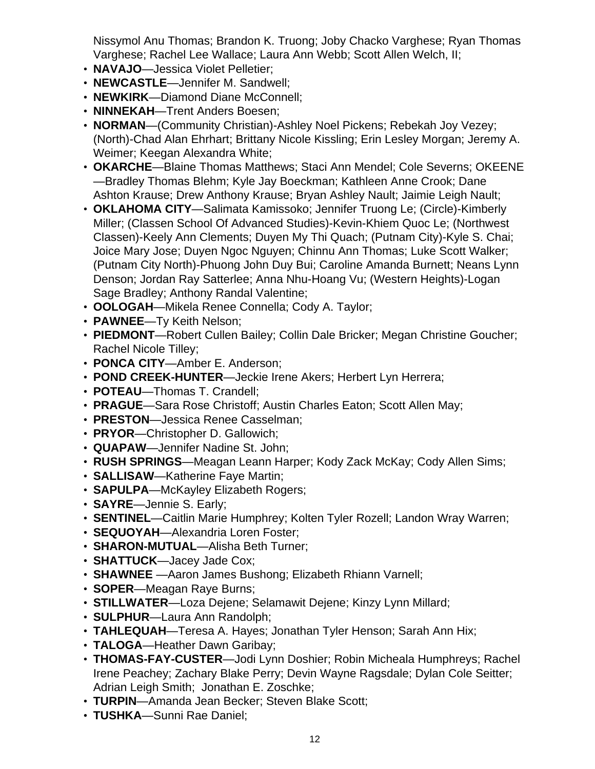Nissymol Anu Thomas; Brandon K. Truong; Joby Chacko Varghese; Ryan Thomas Varghese; Rachel Lee Wallace; Laura Ann Webb; Scott Allen Welch, II;

- **NAVAJO**—Jessica Violet Pelletier;
- **NEWCASTLE**—Jennifer M. Sandwell;
- **NEWKIRK**—Diamond Diane McConnell;
- **NINNEKAH**—Trent Anders Boesen;
- **NORMAN**—(Community Christian)-Ashley Noel Pickens; Rebekah Joy Vezey; (North)-Chad Alan Ehrhart; Brittany Nicole Kissling; Erin Lesley Morgan; Jeremy A. Weimer; Keegan Alexandra White;
- **OKARCHE**—Blaine Thomas Matthews; Staci Ann Mendel; Cole Severns; OKEENE —Bradley Thomas Blehm; Kyle Jay Boeckman; Kathleen Anne Crook; Dane Ashton Krause; Drew Anthony Krause; Bryan Ashley Nault; Jaimie Leigh Nault;
- **OKLAHOMA CITY**—Salimata Kamissoko; Jennifer Truong Le; (Circle)-Kimberly Miller; (Classen School Of Advanced Studies)-Kevin-Khiem Quoc Le; (Northwest Classen)-Keely Ann Clements; Duyen My Thi Quach; (Putnam City)-Kyle S. Chai; Joice Mary Jose; Duyen Ngoc Nguyen; Chinnu Ann Thomas; Luke Scott Walker; (Putnam City North)-Phuong John Duy Bui; Caroline Amanda Burnett; Neans Lynn Denson; Jordan Ray Satterlee; Anna Nhu-Hoang Vu; (Western Heights)-Logan Sage Bradley; Anthony Randal Valentine;
- **OOLOGAH**—Mikela Renee Connella; Cody A. Taylor;
- **PAWNEE**—Ty Keith Nelson;
- **PIEDMONT**—Robert Cullen Bailey; Collin Dale Bricker; Megan Christine Goucher; Rachel Nicole Tilley;
- **PONCA CITY**—Amber E. Anderson;
- **POND CREEK-HUNTER**—Jeckie Irene Akers; Herbert Lyn Herrera;
- **POTEAU**—Thomas T. Crandell;
- **PRAGUE**—Sara Rose Christoff; Austin Charles Eaton; Scott Allen May;
- **PRESTON**—Jessica Renee Casselman;
- **PRYOR**—Christopher D. Gallowich;
- **QUAPAW**—Jennifer Nadine St. John;
- **RUSH SPRINGS**—Meagan Leann Harper; Kody Zack McKay; Cody Allen Sims;
- **SALLISAW**—Katherine Faye Martin;
- **SAPULPA**—McKayley Elizabeth Rogers;
- **SAYRE**—Jennie S. Early;
- **SENTINEL**—Caitlin Marie Humphrey; Kolten Tyler Rozell; Landon Wray Warren;
- **SEQUOYAH**—Alexandria Loren Foster;
- **SHARON-MUTUAL**—Alisha Beth Turner;
- **SHATTUCK**—Jacey Jade Cox;
- **SHAWNEE** —Aaron James Bushong; Elizabeth Rhiann Varnell;
- **SOPER**—Meagan Raye Burns;
- **STILLWATER**—Loza Dejene; Selamawit Dejene; Kinzy Lynn Millard;
- **SULPHUR**—Laura Ann Randolph;
- **TAHLEQUAH**—Teresa A. Hayes; Jonathan Tyler Henson; Sarah Ann Hix;
- **TALOGA**—Heather Dawn Garibay;
- **THOMAS-FAY-CUSTER**—Jodi Lynn Doshier; Robin Micheala Humphreys; Rachel Irene Peachey; Zachary Blake Perry; Devin Wayne Ragsdale; Dylan Cole Seitter; Adrian Leigh Smith; Jonathan E. Zoschke;
- **TURPIN**—Amanda Jean Becker; Steven Blake Scott;
- **TUSHKA**—Sunni Rae Daniel;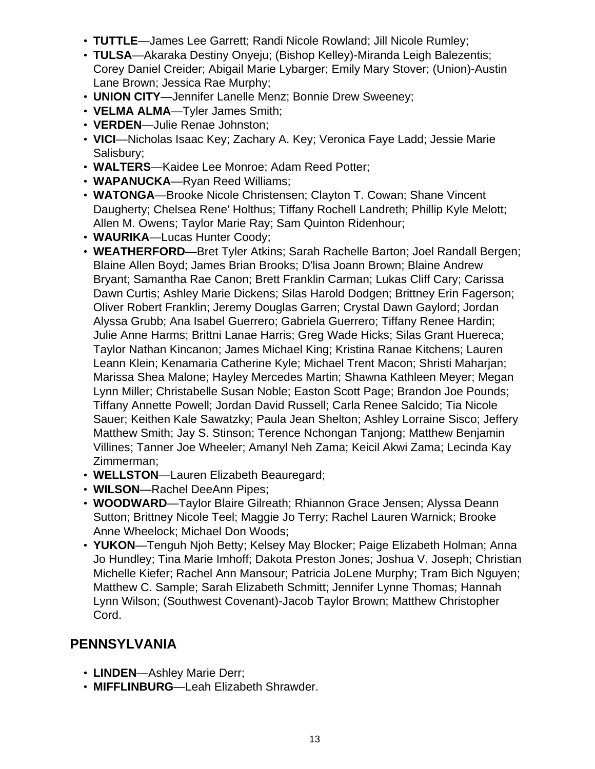- **TUTTLE**—James Lee Garrett; Randi Nicole Rowland; Jill Nicole Rumley;
- **TULSA**—Akaraka Destiny Onyeju; (Bishop Kelley)-Miranda Leigh Balezentis; Corey Daniel Creider; Abigail Marie Lybarger; Emily Mary Stover; (Union)-Austin Lane Brown; Jessica Rae Murphy;
- **UNION CITY**—Jennifer Lanelle Menz; Bonnie Drew Sweeney;
- **VELMA ALMA**—Tyler James Smith;
- **VERDEN**—Julie Renae Johnston;
- **VICI**—Nicholas Isaac Key; Zachary A. Key; Veronica Faye Ladd; Jessie Marie Salisbury;
- **WALTERS**—Kaidee Lee Monroe; Adam Reed Potter;
- **WAPANUCKA**—Ryan Reed Williams;
- **WATONGA**—Brooke Nicole Christensen; Clayton T. Cowan; Shane Vincent Daugherty; Chelsea Rene' Holthus; Tiffany Rochell Landreth; Phillip Kyle Melott; Allen M. Owens; Taylor Marie Ray; Sam Quinton Ridenhour;
- **WAURIKA**—Lucas Hunter Coody;
- **WEATHERFORD**—Bret Tyler Atkins; Sarah Rachelle Barton; Joel Randall Bergen; Blaine Allen Boyd; James Brian Brooks; D'lisa Joann Brown; Blaine Andrew Bryant; Samantha Rae Canon; Brett Franklin Carman; Lukas Cliff Cary; Carissa Dawn Curtis; Ashley Marie Dickens; Silas Harold Dodgen; Brittney Erin Fagerson; Oliver Robert Franklin; Jeremy Douglas Garren; Crystal Dawn Gaylord; Jordan Alyssa Grubb; Ana Isabel Guerrero; Gabriela Guerrero; Tiffany Renee Hardin; Julie Anne Harms; Brittni Lanae Harris; Greg Wade Hicks; Silas Grant Huereca; Taylor Nathan Kincanon; James Michael King; Kristina Ranae Kitchens; Lauren Leann Klein; Kenamaria Catherine Kyle; Michael Trent Macon; Shristi Maharjan; Marissa Shea Malone; Hayley Mercedes Martin; Shawna Kathleen Meyer; Megan Lynn Miller; Christabelle Susan Noble; Easton Scott Page; Brandon Joe Pounds; Tiffany Annette Powell; Jordan David Russell; Carla Renee Salcido; Tia Nicole Sauer; Keithen Kale Sawatzky; Paula Jean Shelton; Ashley Lorraine Sisco; Jeffery Matthew Smith; Jay S. Stinson; Terence Nchongan Tanjong; Matthew Benjamin Villines; Tanner Joe Wheeler; Amanyl Neh Zama; Keicil Akwi Zama; Lecinda Kay Zimmerman;
- **WELLSTON**—Lauren Elizabeth Beauregard;
- **WILSON**—Rachel DeeAnn Pipes;
- **WOODWARD**—Taylor Blaire Gilreath; Rhiannon Grace Jensen; Alyssa Deann Sutton; Brittney Nicole Teel; Maggie Jo Terry; Rachel Lauren Warnick; Brooke Anne Wheelock; Michael Don Woods;
- **YUKON**—Tenguh Njoh Betty; Kelsey May Blocker; Paige Elizabeth Holman; Anna Jo Hundley; Tina Marie Imhoff; Dakota Preston Jones; Joshua V. Joseph; Christian Michelle Kiefer; Rachel Ann Mansour; Patricia JoLene Murphy; Tram Bich Nguyen; Matthew C. Sample; Sarah Elizabeth Schmitt; Jennifer Lynne Thomas; Hannah Lynn Wilson; (Southwest Covenant)-Jacob Taylor Brown; Matthew Christopher Cord.

# **PENNSYLVANIA**

- **LINDEN**—Ashley Marie Derr;
- **MIFFLINBURG**—Leah Elizabeth Shrawder.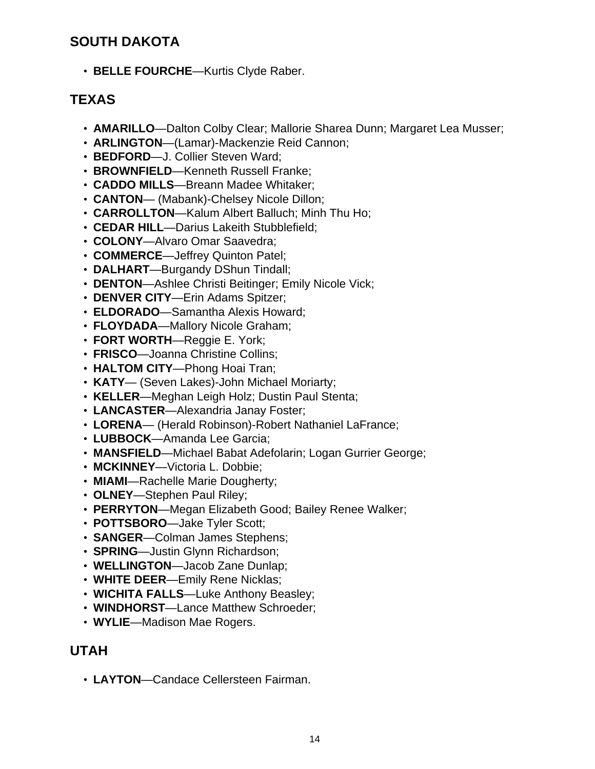# **SOUTH DAKOTA**

• **BELLE FOURCHE**—Kurtis Clyde Raber.

# **TEXAS**

- **AMARILLO**—Dalton Colby Clear; Mallorie Sharea Dunn; Margaret Lea Musser;
- **ARLINGTON**—(Lamar)-Mackenzie Reid Cannon;
- **BEDFORD**—J. Collier Steven Ward;
- **BROWNFIELD**—Kenneth Russell Franke;
- **CADDO MILLS**—Breann Madee Whitaker;
- **CANTON** (Mabank)-Chelsey Nicole Dillon;
- **CARROLLTON**—Kalum Albert Balluch; Minh Thu Ho;
- **CEDAR HILL**—Darius Lakeith Stubblefield;
- **COLONY**—Alvaro Omar Saavedra;
- **COMMERCE**—Jeffrey Quinton Patel;
- **DALHART**—Burgandy DShun Tindall;
- **DENTON**—Ashlee Christi Beitinger; Emily Nicole Vick;
- **DENVER CITY**—Erin Adams Spitzer;
- **ELDORADO**—Samantha Alexis Howard;
- **FLOYDADA**—Mallory Nicole Graham;
- **FORT WORTH**—Reggie E. York;
- **FRISCO**—Joanna Christine Collins;
- **HALTOM CITY**—Phong Hoai Tran;
- **KATY** (Seven Lakes)-John Michael Moriarty;
- **KELLER**—Meghan Leigh Holz; Dustin Paul Stenta;
- **LANCASTER**—Alexandria Janay Foster;
- **LORENA** (Herald Robinson)-Robert Nathaniel LaFrance;
- **LUBBOCK**—Amanda Lee Garcia;
- **MANSFIELD**—Michael Babat Adefolarin; Logan Gurrier George;
- **MCKINNEY**—Victoria L. Dobbie;
- **MIAMI**—Rachelle Marie Dougherty;
- **OLNEY**—Stephen Paul Riley;
- **PERRYTON**—Megan Elizabeth Good; Bailey Renee Walker;
- **POTTSBORO**—Jake Tyler Scott;
- **SANGER**—Colman James Stephens;
- **SPRING**—Justin Glynn Richardson;
- **WELLINGTON**—Jacob Zane Dunlap;
- **WHITE DEER**—Emily Rene Nicklas;
- **WICHITA FALLS**—Luke Anthony Beasley;
- **WINDHORST**—Lance Matthew Schroeder;
- **WYLIE**—Madison Mae Rogers.

# **UTAH**

• **LAYTON**—Candace Cellersteen Fairman.